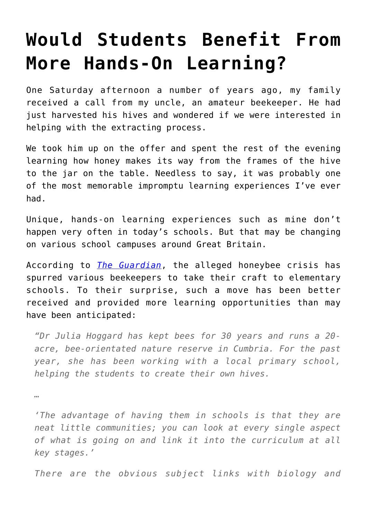## **[Would Students Benefit From](https://intellectualtakeout.org/2017/03/would-students-benefit-from-more-hands-on-learning/) [More Hands-On Learning?](https://intellectualtakeout.org/2017/03/would-students-benefit-from-more-hands-on-learning/)**

One Saturday afternoon a number of years ago, my family received a call from my uncle, an amateur beekeeper. He had just harvested his hives and wondered if we were interested in helping with the extracting process.

We took him up on the offer and spent the rest of the evening learning how honey makes its way from the frames of the hive to the jar on the table. Needless to say, it was probably one of the most memorable impromptu learning experiences I've ever had.

Unique, hands-on learning experiences such as mine don't happen very often in today's schools. But that may be changing on various school campuses around Great Britain.

According to *[The Guardian](https://www.theguardian.com/teacher-network/2017/mar/03/creating-a-buzz-how-uk-schools-are-embracing-beekeeping)*, the alleged honeybee crisis has spurred various beekeepers to take their craft to elementary schools. To their surprise, such a move has been better received and provided more learning opportunities than may have been anticipated:

*"Dr Julia Hoggard has kept bees for 30 years and runs a 20 acre, bee-orientated nature reserve in Cumbria. For the past year, she has been working with a local primary school, helping the students to create their own hives.*

*…*

*'The advantage of having them in schools is that they are neat little communities; you can look at every single aspect of what is going on and link it into the curriculum at all key stages.'*

*There are the obvious subject links with biology and*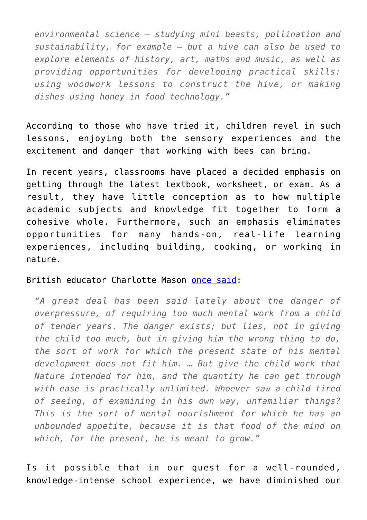*environmental science – studying mini beasts, pollination and sustainability, for example – but a hive can also be used to explore elements of history, art, maths and music, as well as providing opportunities for developing practical skills: using woodwork lessons to construct the hive, or making dishes using honey in food technology."*

According to those who have tried it, children revel in such lessons, enjoying both the sensory experiences and the excitement and danger that working with bees can bring.

In recent years, classrooms have placed a decided emphasis on getting through the latest textbook, worksheet, or exam. As a result, they have little conception as to how multiple academic subjects and knowledge fit together to form a cohesive whole. Furthermore, such an emphasis eliminates opportunities for many hands-on, real-life learning experiences, including building, cooking, or working in nature.

## British educator Charlotte Mason [once said:](https://www.amblesideonline.org/CM/vol1complete.html#1_2_01to08)

*"A great deal has been said lately about the danger of overpressure, of requiring too much mental work from a child of tender years. The danger exists; but lies, not in giving the child too much, but in giving him the wrong thing to do, the sort of work for which the present state of his mental development does not fit him. … But give the child work that Nature intended for him, and the quantity he can get through with ease is practically unlimited. Whoever saw a child tired of seeing, of examining in his own way, unfamiliar things? This is the sort of mental nourishment for which he has an unbounded appetite, because it is that food of the mind on which, for the present, he is meant to grow."*

Is it possible that in our quest for a well-rounded, knowledge-intense school experience, we have diminished our